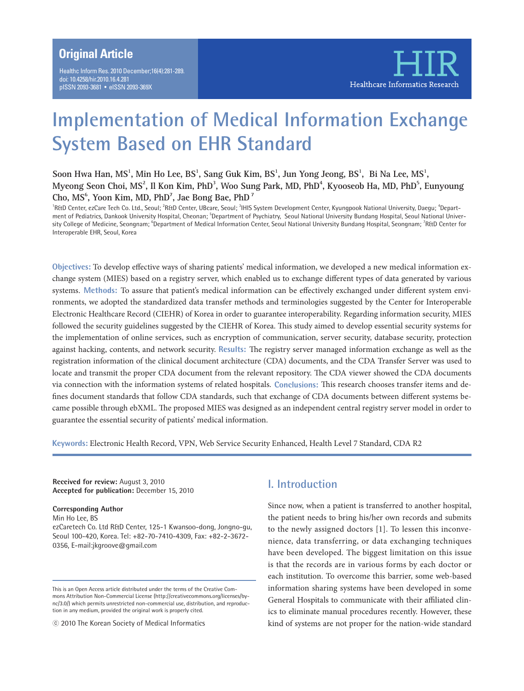Healthc Inform Res. 2010 December;16(4):281-289. doi: 10.4258/hir.2010.16.4.281 pISSN 2093-3681 • eISSN 2093-369X

# **Implementation of Medical Information Exchange System Based on EHR Standard**

# Soon Hwa Han, MS<sup>1</sup>, Min Ho Lee, BS<sup>1</sup>, Sang Guk Kim, BS<sup>1</sup>, Jun Yong Jeong, BS<sup>1</sup>, Bi Na Lee, MS<sup>1</sup>, Myeong Seon Choi, MS<sup>2</sup>, Il Kon Kim, PhD<sup>3</sup>, Woo Sung Park, MD, PhD<sup>4</sup>, Kyooseob Ha, MD, PhD<sup>5</sup>, Eunyoung **Cho, MS6 , Yoon Kim, MD, PhD7 , Jae Bong Bae, PhD 7**

<sup>1</sup>R&D Center, ezCare Tech Co. Ltd., Seoul; <sup>2</sup>R&D Center, UBcare, Seoul; <sup>3</sup>IHIS System Development Center, Kyungpook National University, Daegu; <sup>4</sup>Department of Pediatrics, Dankook University Hospital, Cheonan; <sup>5</sup>Department of Psychiatry, Seoul National University Bundang Hospital, Seoul National University College of Medicine, Seongnam; <sup>6</sup>Department of Medical Information Center, Seoul National University Bundang Hospital, Seongnam; <sup>7</sup>R&D Center for Interoperable EHR, Seoul, Korea

**Objectives:** To develop effective ways of sharing patients' medical information, we developed a new medical information exchange system (MIES) based on a registry server, which enabled us to exchange different types of data generated by various systems. **Methods:** To assure that patient's medical information can be effectively exchanged under different system environments, we adopted the standardized data transfer methods and terminologies suggested by the Center for Interoperable Electronic Healthcare Record (CIEHR) of Korea in order to guarantee interoperability. Regarding information security, MIES followed the security guidelines suggested by the CIEHR of Korea. This study aimed to develop essential security systems for the implementation of online services, such as encryption of communication, server security, database security, protection against hacking, contents, and network security. **Results:** The registry server managed information exchange as well as the registration information of the clinical document architecture (CDA) documents, and the CDA Transfer Server was used to locate and transmit the proper CDA document from the relevant repository. The CDA viewer showed the CDA documents via connection with the information systems of related hospitals. **Conclusions:** This research chooses transfer items and defines document standards that follow CDA standards, such that exchange of CDA documents between different systems became possible through ebXML. The proposed MIES was designed as an independent central registry server model in order to guarantee the essential security of patients' medical information.

**Keywords:** Electronic Health Record, VPN, Web Service Security Enhanced, Health Level 7 Standard, CDA R2

**Received for review:** August 3, 2010 **Accepted for publication:** December 15, 2010

#### **Corresponding Author**

Min Ho Lee, BS

ezCaretech Co. Ltd R&D Center, 125-1 Kwansoo-dong, Jongno-gu, Seoul 100-420, Korea. Tel: +82-70-7410-4309, Fax: +82-2-3672- 0356, E-mail:jkgroove@gmail.com

ⓒ 2010 The Korean Society of Medical Informatics

# **I. Introduction**

Since now, when a patient is transferred to another hospital, the patient needs to bring his/her own records and submits to the newly assigned doctors [1]. To lessen this inconvenience, data transferring, or data exchanging techniques have been developed. The biggest limitation on this issue is that the records are in various forms by each doctor or each institution. To overcome this barrier, some web-based information sharing systems have been developed in some General Hospitals to communicate with their affiliated clinics to eliminate manual procedures recently. However, these kind of systems are not proper for the nation-wide standard

This is an Open Access article distributed under the terms of the Creative Commons Attribution Non-Commercial License (http://creativecommons.org/licenses/bync/3.0/) which permits unrestricted non-commercial use, distribution, and reproduction in any medium, provided the original work is properly cited.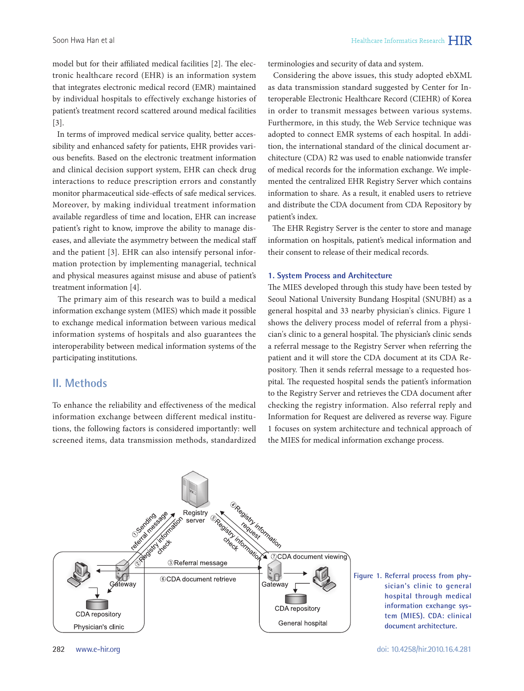model but for their affiliated medical facilities [2]. The electronic healthcare record (EHR) is an information system that integrates electronic medical record (EMR) maintained by individual hospitals to effectively exchange histories of patient's treatment record scattered around medical facilities [3].

 In terms of improved medical service quality, better accessibility and enhanced safety for patients, EHR provides various benefits. Based on the electronic treatment information and clinical decision support system, EHR can check drug interactions to reduce prescription errors and constantly monitor pharmaceutical side-effects of safe medical services. Moreover, by making individual treatment information available regardless of time and location, EHR can increase patient's right to know, improve the ability to manage diseases, and alleviate the asymmetry between the medical staff and the patient [3]. EHR can also intensify personal information protection by implementing managerial, technical and physical measures against misuse and abuse of patient's treatment information [4].

 The primary aim of this research was to build a medical information exchange system (MIES) which made it possible to exchange medical information between various medical information systems of hospitals and also guarantees the interoperability between medical information systems of the participating institutions.

# **II. Methods**

To enhance the reliability and effectiveness of the medical information exchange between different medical institutions, the following factors is considered importantly: well screened items, data transmission methods, standardized

terminologies and security of data and system.

 Considering the above issues, this study adopted ebXML as data transmission standard suggested by Center for Interoperable Electronic Healthcare Record (CIEHR) of Korea in order to transmit messages between various systems. Furthermore, in this study, the Web Service technique was adopted to connect EMR systems of each hospital. In addition, the international standard of the clinical document architecture (CDA) R2 was used to enable nationwide transfer of medical records for the information exchange. We implemented the centralized EHR Registry Server which contains information to share. As a result, it enabled users to retrieve and distribute the CDA document from CDA Repository by patient's index.

 The EHR Registry Server is the center to store and manage information on hospitals, patient's medical information and their consent to release of their medical records.

### **1. System Process and Architecture**

The MIES developed through this study have been tested by Seoul National University Bundang Hospital (SNUBH) as a general hospital and 33 nearby physician's clinics. Figure 1 shows the delivery process model of referral from a physician's clinic to a general hospital. The physician's clinic sends a referral message to the Registry Server when referring the patient and it will store the CDA document at its CDA Repository. Then it sends referral message to a requested hospital. The requested hospital sends the patient's information to the Registry Server and retrieves the CDA document after checking the registry information. Also referral reply and Information for Request are delivered as reverse way. Figure 1 focuses on system architecture and technical approach of the MIES for medical information exchange process.



**Figure 1. Referral process from physician's clinic to general hospital through medical information exchange system (MIES). CDA: clinical document architecture.**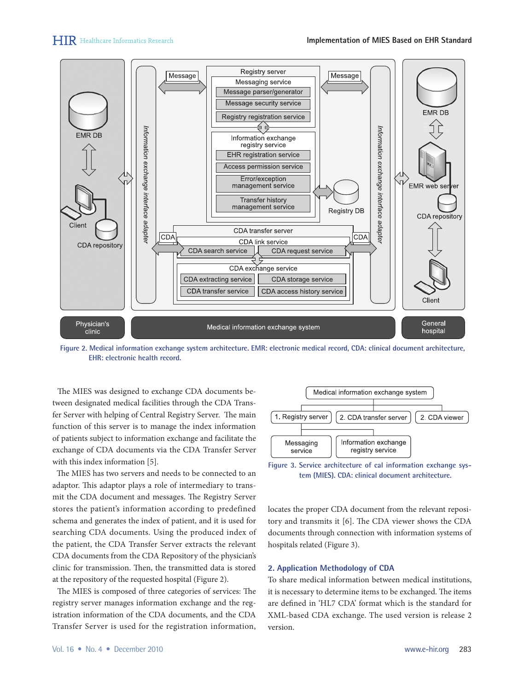

**Figure 2. Medical information exchange system architecture. EMR: electronic medical record, CDA: clinical document architecture, EHR: electronic health record.**

 The MIES was designed to exchange CDA documents between designated medical facilities through the CDA Transfer Server with helping of Central Registry Server. The main function of this server is to manage the index information of patients subject to information exchange and facilitate the exchange of CDA documents via the CDA Transfer Server with this index information [5].

 The MIES has two servers and needs to be connected to an adaptor. This adaptor plays a role of intermediary to transmit the CDA document and messages. The Registry Server stores the patient's information according to predefined schema and generates the index of patient, and it is used for searching CDA documents. Using the produced index of the patient, the CDA Transfer Server extracts the relevant CDA documents from the CDA Repository of the physician's clinic for transmission. Then, the transmitted data is stored at the repository of the requested hospital (Figure 2).

 The MIES is composed of three categories of services: The registry server manages information exchange and the registration information of the CDA documents, and the CDA Transfer Server is used for the registration information,



**Figure 3. Service architecture of cal information exchange system (MIES). CDA: clinical document architecture.**

locates the proper CDA document from the relevant repository and transmits it [6]. The CDA viewer shows the CDA documents through connection with information systems of hospitals related (Figure 3).

### **2. Application Methodology of CDA**

To share medical information between medical institutions, it is necessary to determine items to be exchanged. The items are defined in 'HL7 CDA' format which is the standard for XML-based CDA exchange. The used version is release 2 version.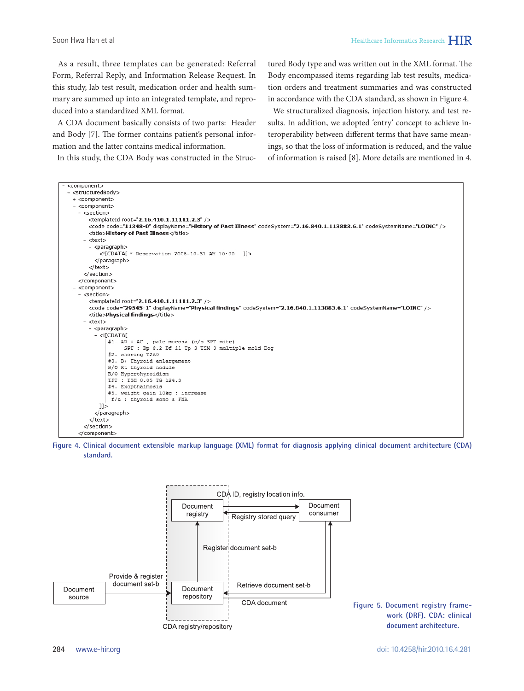As a result, three templates can be generated: Referral Form, Referral Reply, and Information Release Request. In this study, lab test result, medication order and health summary are summed up into an integrated template, and reproduced into a standardized XML format.

 A CDA document basically consists of two parts: Header and Body [7]. The former contains patient's personal information and the latter contains medical information.

In this study, the CDA Body was constructed in the Struc-

tured Body type and was written out in the XML format. The Body encompassed items regarding lab test results, medication orders and treatment summaries and was constructed in accordance with the CDA standard, as shown in Figure 4.

 We structuralized diagnosis, injection history, and test results. In addition, we adopted 'entry' concept to achieve interoperability between different terms that have same meanings, so that the loss of information is reduced, and the value of information is raised [8]. More details are mentioned in 4.



**Figure 4. Clinical document extensible markup language (XML) format for diagnosis applying clinical document architecture (CDA) standard.**

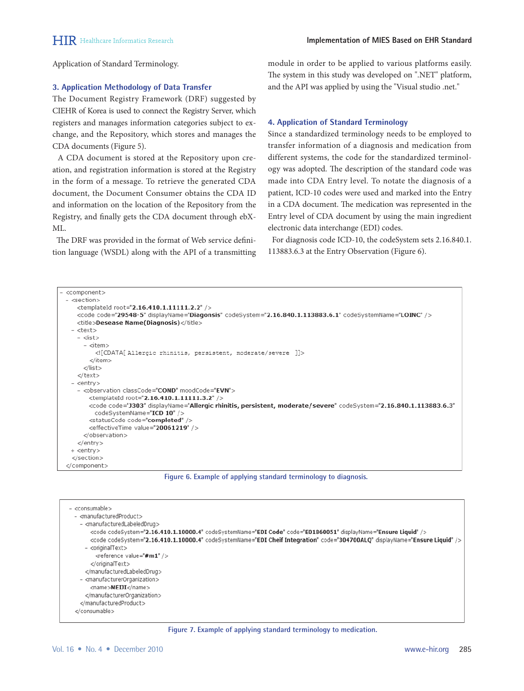Application of Standard Terminology.

### **3. Application Methodology of Data Transfer**

The Document Registry Framework (DRF) suggested by CIEHR of Korea is used to connect the Registry Server, which registers and manages information categories subject to exchange, and the Repository, which stores and manages the CDA documents (Figure 5).

 A CDA document is stored at the Repository upon creation, and registration information is stored at the Registry in the form of a message. To retrieve the generated CDA document, the Document Consumer obtains the CDA ID and information on the location of the Repository from the Registry, and finally gets the CDA document through ebX-ML.

 The DRF was provided in the format of Web service definition language (WSDL) along with the API of a transmitting module in order to be applied to various platforms easily. The system in this study was developed on ".NET" platform, and the API was applied by using the "Visual studio .net."

### **4. Application of Standard Terminology**

Since a standardized terminology needs to be employed to transfer information of a diagnosis and medication from different systems, the code for the standardized terminology was adopted. The description of the standard code was made into CDA Entry level. To notate the diagnosis of a patient, ICD-10 codes were used and marked into the Entry in a CDA document. The medication was represented in the Entry level of CDA document by using the main ingredient electronic data interchange (EDI) codes.

 For diagnosis code ICD-10, the codeSystem sets 2.16.840.1. 113883.6.3 at the Entry Observation (Figure 6).

```
<component>
- <section>
   <templateId root="2.16.410.1.11111.2.2" />
   <code code="29548-5" displayName="Diagonsis" codeSystem="2.16.840.1.113883.6.1" codeSystemName="LOINC" />
   <title>Desease Name(Diagnosis)</title>
 - <text>
   - < list>- <item>
         <! [CDATA[ Allergic rhinitis, persistent, moderate/severe ]]>
       </item>
     \langle/list>
   \langletext>
 - <entry>
   - <observation classCode="COND" moodCode="EVN">
       <templateId root="2.16.410.1.11111.3.2" />
       <code code="J303" displayName="Allergic rhinitis, persistent, moderate/severe" codeSystem="2.16.840.1.113883.6.3"
        codeSystemName="ICD 10" />
       <statusCode code="completed" />
       <effectiveTime value="20061219" />
     </observation>
   </entry>
 + <entry>
  </section>
</component>
```
**Figure 6. Example of applying standard terminology to diagnosis.**

| - <consumable><br/>- <manufacturedproduct><br/>- <manufacturedlabeleddrug><br/><code code="E01860051" codesystem="2.16.410.1.10000.4" codesystemname="EDI Code" displayname="Ensure Liquid"></code><br/><code code="304700ALQ" codesystem="2.16.410.1.10000.4" codesystemname="EDI Cheif Integration" displayname="Ensure Liquid"></code><br/>- <originaltext><br/><reference value="#m1"></reference><br/></originaltext><br/></manufacturedlabeleddrug></manufacturedproduct></consumable> |
|----------------------------------------------------------------------------------------------------------------------------------------------------------------------------------------------------------------------------------------------------------------------------------------------------------------------------------------------------------------------------------------------------------------------------------------------------------------------------------------------|
|                                                                                                                                                                                                                                                                                                                                                                                                                                                                                              |
| - <manufacturerorganization><br/><name>MEIJI</name></manufacturerorganization>                                                                                                                                                                                                                                                                                                                                                                                                               |
| <br>                                                                                                                                                                                                                                                                                                                                                                                                                                                                                         |
|                                                                                                                                                                                                                                                                                                                                                                                                                                                                                              |

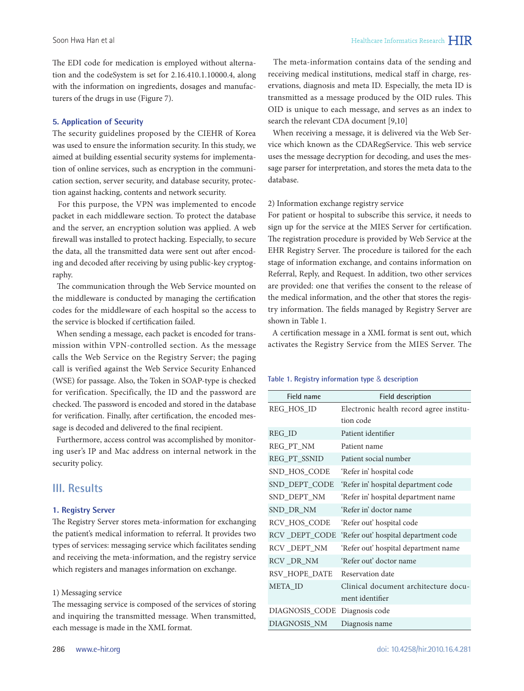The EDI code for medication is employed without alternation and the codeSystem is set for 2.16.410.1.10000.4, along with the information on ingredients, dosages and manufacturers of the drugs in use (Figure 7).

### **5. Application of Security**

The security guidelines proposed by the CIEHR of Korea was used to ensure the information security. In this study, we aimed at building essential security systems for implementation of online services, such as encryption in the communication section, server security, and database security, protection against hacking, contents and network security.

 For this purpose, the VPN was implemented to encode packet in each middleware section. To protect the database and the server, an encryption solution was applied. A web firewall was installed to protect hacking. Especially, to secure the data, all the transmitted data were sent out after encoding and decoded after receiving by using public-key cryptography.

 The communication through the Web Service mounted on the middleware is conducted by managing the certification codes for the middleware of each hospital so the access to the service is blocked if certification failed.

 When sending a message, each packet is encoded for transmission within VPN-controlled section. As the message calls the Web Service on the Registry Server; the paging call is verified against the Web Service Security Enhanced (WSE) for passage. Also, the Token in SOAP-type is checked for verification. Specifically, the ID and the password are checked. The password is encoded and stored in the database for verification. Finally, after certification, the encoded message is decoded and delivered to the final recipient.

 Furthermore, access control was accomplished by monitoring user's IP and Mac address on internal network in the security policy.

# **III. Results**

### **1. Registry Server**

The Registry Server stores meta-information for exchanging the patient's medical information to referral. It provides two types of services: messaging service which facilitates sending and receiving the meta-information, and the registry service which registers and manages information on exchange.

#### 1) Messaging service

The messaging service is composed of the services of storing and inquiring the transmitted message. When transmitted, each message is made in the XML format.

 The meta-information contains data of the sending and receiving medical institutions, medical staff in charge, reservations, diagnosis and meta ID. Especially, the meta ID is transmitted as a message produced by the OID rules. This OID is unique to each message, and serves as an index to search the relevant CDA document [9,10]

 When receiving a message, it is delivered via the Web Service which known as the CDARegService. This web service uses the message decryption for decoding, and uses the message parser for interpretation, and stores the meta data to the database.

#### 2) Information exchange registry service

For patient or hospital to subscribe this service, it needs to sign up for the service at the MIES Server for certification. The registration procedure is provided by Web Service at the EHR Registry Server. The procedure is tailored for the each stage of information exchange, and contains information on Referral, Reply, and Request. In addition, two other services are provided: one that verifies the consent to the release of the medical information, and the other that stores the registry information. The fields managed by Registry Server are shown in Table 1.

 A certification message in a XML format is sent out, which activates the Registry Service from the MIES Server. The

### **Table 1. Registry information type** & **description**

| Field name     | <b>Field description</b>                |  |
|----------------|-----------------------------------------|--|
| REG_HOS_ID     | Electronic health record agree institu- |  |
|                | tion code                               |  |
| REG_ID         | Patient identifier                      |  |
| REG_PT_NM      | Patient name                            |  |
| REG_PT_SSNID   | Patient social number                   |  |
| SND_HOS_CODE   | 'Refer in' hospital code                |  |
| SND_DEPT_CODE  | 'Refer in' hospital department code     |  |
| SND_DEPT_NM    | 'Refer in' hospital department name     |  |
| SND_DR_NM      | 'Refer in' doctor name                  |  |
| RCV_HOS_CODE   | 'Refer out' hospital code               |  |
| RCV DEPT CODE  | 'Refer out' hospital department code    |  |
| RCV_DEPT_NM    | 'Refer out' hospital department name    |  |
| RCV DR NM      | 'Refer out' doctor name                 |  |
| RSV HOPE DATE  | Reservation date                        |  |
| META_ID        | Clinical document architecture docu-    |  |
|                | ment identifier                         |  |
| DIAGNOSIS_CODE | Diagnosis code                          |  |
| DIAGNOSIS_NM   | Diagnosis name                          |  |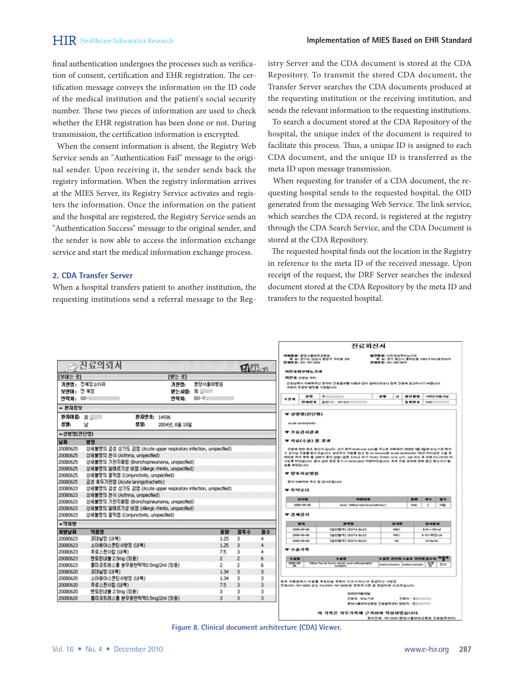## **HIR** Healthcare Informatics Research

final authentication undergoes the processes such as verification of consent, certification and EHR registration. The certification message conveys the information on the ID code of the medical institution and the patient's social security number. These two pieces of information are used to check whether the EHR registration has been done or not. During transmission, the certification information is encrypted.

 When the consent information is absent, the Registry Web Service sends an "Authentication Fail" message to the original sender. Upon receiving it, the sender sends back the registry information. When the registry information arrives at the MIES Server, its Registry Service activates and registers the information. Once the information on the patient and the hospital are registered, the Registry Service sends an "Authentication Success" message to the original sender, and the sender is now able to access the information exchange service and start the medical information exchange process.

### **2. CDA Transfer Server**

When a hospital transfers patient to another institution, the requesting institutions send a referral message to the Registry Server and the CDA document is stored at the CDA Repository. To transmit the stored CDA document, the Transfer Server searches the CDA documents produced at the requesting institution or the receiving institution, and sends the relevant information to the requesting institutions.

 To search a document stored at the CDA Repository of the hospital, the unique index of the document is required to facilitate this process. Thus, a unique ID is assigned to each CDA document, and the unique ID is transferred as the meta ID upon message transmission.

 When requesting for transfer of a CDA document, the requesting hospital sends to the requested hospital, the OID generated from the messaging Web Service. The link service, which searches the CDA record, is registered at the registry through the CDA Search Service, and the CDA Document is stored at the CDA Repository.

 The requested hospital finds out the location in the Registry in reference to the meta ID of the received message. Upon receipt of the request, the DRF Server searches the indexed document stored at the CDA Repository by the meta ID and transfers to the requested hospital.



**Figure 8. Clinical document architecture (CDA) Viewer.**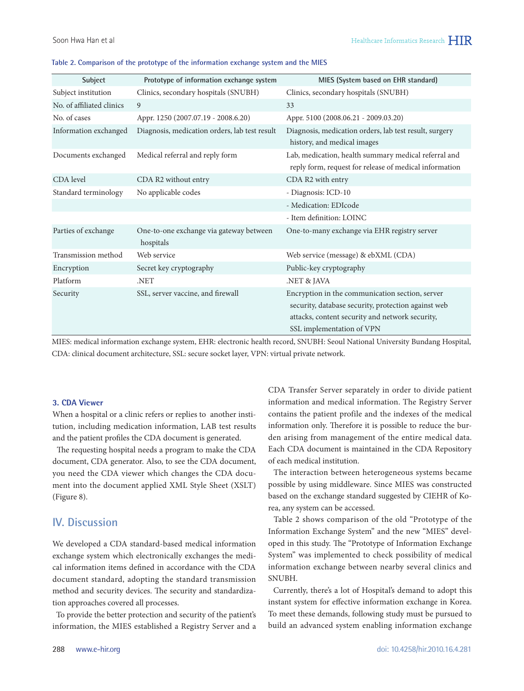| Subject                   | Prototype of information exchange system             | MIES (System based on EHR standard)                                                                                                                                                    |
|---------------------------|------------------------------------------------------|----------------------------------------------------------------------------------------------------------------------------------------------------------------------------------------|
| Subject institution       | Clinics, secondary hospitals (SNUBH)                 | Clinics, secondary hospitals (SNUBH)                                                                                                                                                   |
| No. of affiliated clinics | 9                                                    | 33                                                                                                                                                                                     |
| No. of cases              | Appr. 1250 (2007.07.19 - 2008.6.20)                  | Appr. 5100 (2008.06.21 - 2009.03.20)                                                                                                                                                   |
| Information exchanged     | Diagnosis, medication orders, lab test result        | Diagnosis, medication orders, lab test result, surgery<br>history, and medical images                                                                                                  |
| Documents exchanged       | Medical referral and reply form                      | Lab, medication, health summary medical referral and<br>reply form, request for release of medical information                                                                         |
| CDA level                 | CDA R2 without entry                                 | CDA R2 with entry                                                                                                                                                                      |
| Standard terminology      | No applicable codes                                  | - Diagnosis: ICD-10                                                                                                                                                                    |
|                           |                                                      | - Medication: EDIcode                                                                                                                                                                  |
|                           |                                                      | - Item definition: LOINC                                                                                                                                                               |
| Parties of exchange       | One-to-one exchange via gateway between<br>hospitals | One-to-many exchange via EHR registry server                                                                                                                                           |
| Transmission method       | Web service                                          | Web service (message) & ebXML (CDA)                                                                                                                                                    |
| Encryption                | Secret key cryptography                              | Public-key cryptography                                                                                                                                                                |
| Platform                  | .NET                                                 | .NET & JAVA                                                                                                                                                                            |
| Security                  | SSL, server vaccine, and firewall                    | Encryption in the communication section, server<br>security, database security, protection against web<br>attacks, content security and network security,<br>SSL implementation of VPN |

#### **Table 2. Comparison of the prototype of the information exchange system and the MIES**

MIES: medical information exchange system, EHR: electronic health record, SNUBH: Seoul National University Bundang Hospital, CDA: clinical document architecture, SSL: secure socket layer, VPN: virtual private network.

#### **3. CDA Viewer**

When a hospital or a clinic refers or replies to another institution, including medication information, LAB test results and the patient profiles the CDA document is generated.

 The requesting hospital needs a program to make the CDA document, CDA generator. Also, to see the CDA document, you need the CDA viewer which changes the CDA document into the document applied XML Style Sheet (XSLT) (Figure 8).

# **IV. Discussion**

We developed a CDA standard-based medical information exchange system which electronically exchanges the medical information items defined in accordance with the CDA document standard, adopting the standard transmission method and security devices. The security and standardization approaches covered all processes.

 To provide the better protection and security of the patient's information, the MIES established a Registry Server and a CDA Transfer Server separately in order to divide patient information and medical information. The Registry Server contains the patient profile and the indexes of the medical information only. Therefore it is possible to reduce the burden arising from management of the entire medical data. Each CDA document is maintained in the CDA Repository of each medical institution.

 The interaction between heterogeneous systems became possible by using middleware. Since MIES was constructed based on the exchange standard suggested by CIEHR of Korea, any system can be accessed.

 Table 2 shows comparison of the old "Prototype of the Information Exchange System" and the new "MIES" developed in this study. The "Prototype of Information Exchange System" was implemented to check possibility of medical information exchange between nearby several clinics and SNUBH.

 Currently, there's a lot of Hospital's demand to adopt this instant system for effective information exchange in Korea. To meet these demands, following study must be pursued to build an advanced system enabling information exchange